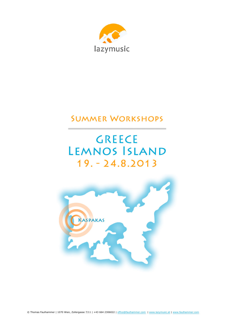

# **SUMMER WORKSHOPS**

# **GREECE LEMNOS ISLAND**  $19. - 24.8.2013$

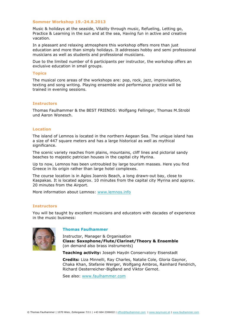#### **Sommer Workshop 19.-24.8.2013**

Music & holidays at the seaside, Vitality through music, Refueling, Letting go, Practice & Learning in the sun and at the sea, Having fun in active and creative vacation.

In a pleasant and relaxing atmosphere this workshop offers more than just education and more than simply holidays. It addresses hobby and semi professional musicians as well as students and professional musicians.

Due to the limited number of 6 participants per instructor, the workshop offers an exclusive education in small groups.

#### **Topics**

The musical core areas of the workshops are: pop, rock, jazz, improvisation, texting and song writing. Playing ensemble and performance practice will be trained in evening sessions.

#### **Instructors**

Thomas Faulhammer & the BEST FRIENDS: Wolfgang Fellinger, Thomas M.Strobl und Aaron Wonesch.

#### **Location**

The island of Lemnos is located in the northern Aegean Sea. The unique island has a size of 447 square meters and has a large historical as well as mythical significance.

The scenic variety reaches from plains, mountains, cliff lines and pictorial sandy beaches to majestic patrician houses in the capital city Myrina.

Up to now, Lemnos has been untroubled by large tourism masses. Here you find Greece in its origin rather than large hotel complexes.

The course location is in Agios Joannis Beach, a long drawn-out bay, close to Kaspakas. It is located approx. 10 minutes from the capital city Myrina and approx. 20 minutes from the Airport.

More information about Lemnos: www.lemnos.info

#### **Instructors**

You will be taught by excellent musicians and educators with dacades of experience in the music business:



### **Thomas Faulhammer**

Instructor, Manager & Organisation **Class: Saxophone/Flute/Clarinet/Theory & Ensemble** (on demand also brass instruments)

**Teaching activity:** Joseph Haydn Conservatory Eisenstadt

**Credits:** Liza Minnelli, Ray Charles, Natalie Cole, Gloria Gaynor, Chaka Khan, Stefanie Werger, Wolfgang Ambros, Rainhard Fendrich, Richard Oesterreicher-BigBand and Viktor Gernot.

See also: www.faulhammer.com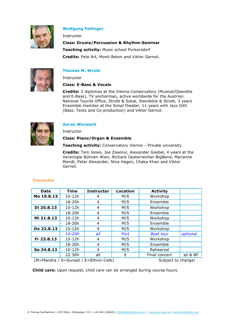

# **Wolfgang Fellinger**

Instructor

**Class: Drums/Percussion & Rhythm-Seminar Teaching activity:** Music school Purkersdorf **Credits:** Pete Art, Monti Beton and Viktor Gernot.



# **Thomas M. Strobl**

**Instructor** 

# **Class: E-Bass & Vocals**

**Credits:** 2 diplomas at the Vienna Conservatory (Musical/Operetta and E-Bass), TV anchorman, active worldwide for the Austrian National Tourist Office, Strobl & Sokal, Steinböck & Strobl, 3 years Ensemble member at the Simpl theater, 11 years with Jazz Gitti (Bass, Texts and Co-production) and Viktor Gernot.



# **Aaron Wonesch**

Instructor

# **Class: Piano/Organ & Ensemble**

**Teaching activity:** Conservatory Vienna – Private university

**Credits:** Tom Jones, Joe Zawinul, Alexander Goebel, 4 years at the Vereinigte Bühnen Wien, Richard Oesterreicher-BigBand, Marianne Mendt, Peter Alexander, Nina Hagen, Chaka Khan and Viktor Gernot.

| <b>Date</b> | <b>Time</b> | <b>Instructor</b> | <b>Location</b> | <b>Activity</b>  |          |
|-------------|-------------|-------------------|-----------------|------------------|----------|
| Mo 19.8.13  | $10 - 12h$  | 4                 | M/S             | Workshop         |          |
|             | 18-20h      | 4                 | M/S             | Ensemble         |          |
| Di 20.8.13  | $10 - 12h$  | 4                 | M/S             | Workshop         |          |
|             | 18-20h      | 4                 | M/S             | Ensemble         |          |
| Mi 21.8.13  | $10 - 12h$  | 4                 | M/S             | Workshop         |          |
|             | 18-20h      | 4                 | M/S             | Ensemble         |          |
| Do 22.8.13  | $10 - 12h$  | 4                 | M/S             | Workshop         |          |
|             | 14-20h      | all               | Port            | <b>Boat tour</b> | optional |
| Fr 23.8.13  | $10 - 12h$  | 4                 | M/S             | Workshop         |          |
|             | 18-20h      | 4                 | M/S             | Ensemble         |          |
| Sa 24.8.13  | $10 - 12h$  | 4                 | M/S             | Rehearsal        |          |
|             | 22.30h      | all               | F               | Final concert    | all & BF |

# **Timetable**

(M=Mandra / S=Sunset / E=Ethnic-Cafe) Subject to change!

**Child care:** Upon request, child care can be arranged during course hours.